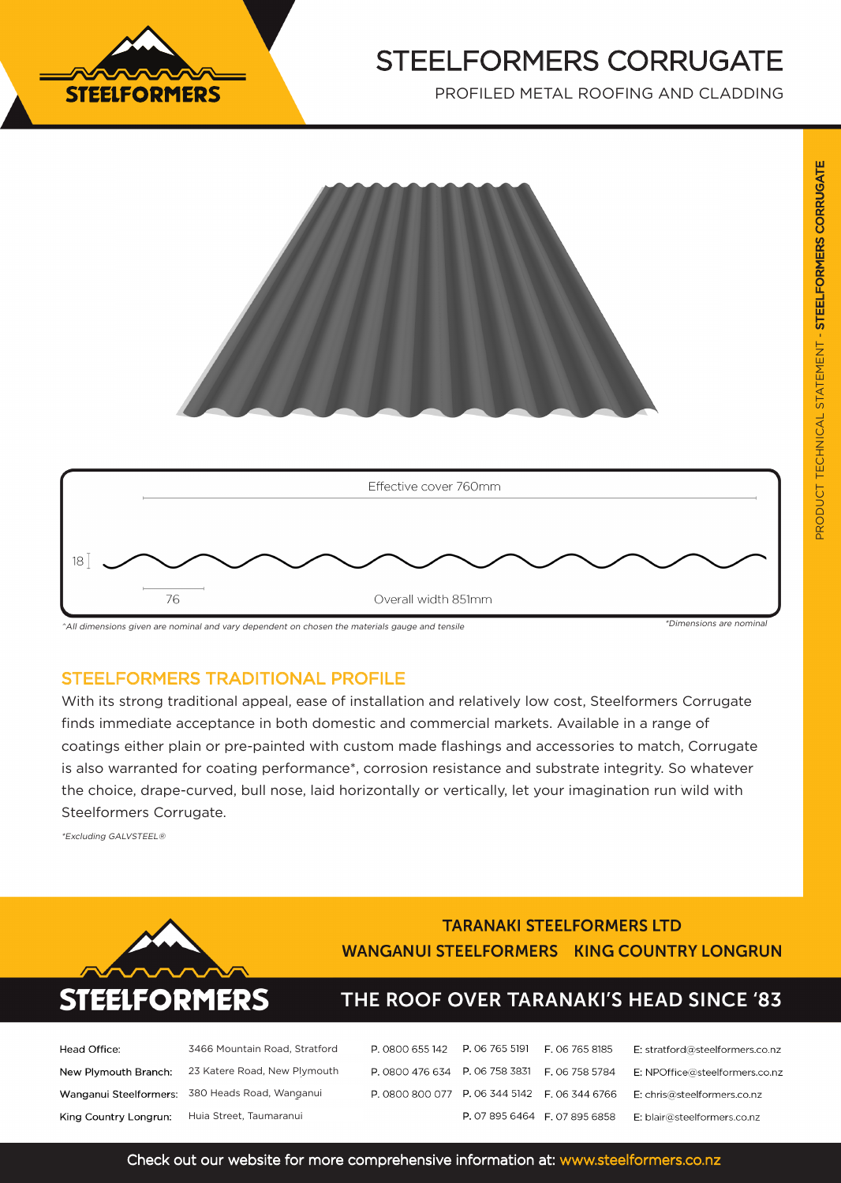

# STEELFORMERS CORRUGATE

PROFILED METAL ROOFING AND CLADDING





^All dimensions given are nominal and vary dependent on chosen the materials gauge and tensile

### STEELFORMERS TRADITIONAL PROFILE

With its strong traditional appeal, ease of installation and relatively low cost, Steelformers Corrugate finds immediate acceptance in both domestic and commercial markets. Available in a range of coatings either plain or pre-painted with custom made flashings and accessories to match, Corrugate is also warranted for coating performance\*, corrosion resistance and substrate integrity. So whatever the choice, drape-curved, bull nose, laid horizontally or vertically, let your imagination run wild with Steelformers Corrugate.

\*Excluding GALVSTEEL®



### **TARANAKI STEELFORMERS LTD WANGANUI STEELFORMERS KING COUNTRY LONGRUN**

## THE ROOF OVER TARANAKI'S HEAD SINCE '83

E: stratford@steelformers.co.nz

E: NPOffice@steelformers.co.nz

| Head Office:          | 3466 Mountain Road, Stratford                   |  |
|-----------------------|-------------------------------------------------|--|
| New Plymouth Branch:  | 23 Katere Road, New Plymouth                    |  |
|                       | Wanganui Steelformers: 380 Heads Road, Wanganui |  |
| King Country Longrun: | Huia Street, Taumaranui                         |  |

| шi | P. 0800 800 077 P. 06 344 5142 F. 06 344 6766 |                               | E: chris@steelformers.co.nz |
|----|-----------------------------------------------|-------------------------------|-----------------------------|
|    |                                               | P. 07 895 6464 F. 07 895 6858 | E: blair@steelformers.co.nz |
|    |                                               |                               |                             |

P. 0800 655 142 P. 06 765 5191 F. 06 765 8185

P. 0800 476 634 P. 06 758 3831 F. 06 758 5784